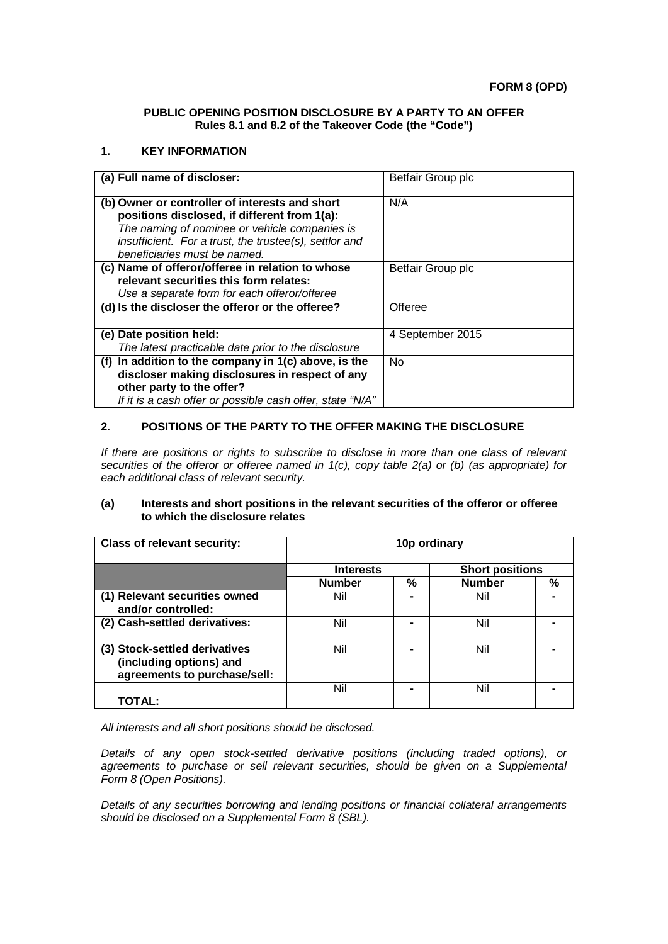### **PUBLIC OPENING POSITION DISCLOSURE BY A PARTY TO AN OFFER Rules 8.1 and 8.2 of the Takeover Code (the "Code")**

### **1. KEY INFORMATION**

| (a) Full name of discloser:                               | Betfair Group plc |
|-----------------------------------------------------------|-------------------|
| (b) Owner or controller of interests and short            | N/A               |
| positions disclosed, if different from 1(a):              |                   |
| The naming of nominee or vehicle companies is             |                   |
| insufficient. For a trust, the trustee(s), settlor and    |                   |
| beneficiaries must be named.                              |                   |
| (c) Name of offeror/offeree in relation to whose          | Betfair Group plc |
| relevant securities this form relates:                    |                   |
| Use a separate form for each offeror/offeree              |                   |
| (d) Is the discloser the offeror or the offeree?          | Offeree           |
|                                                           |                   |
| (e) Date position held:                                   | 4 September 2015  |
| The latest practicable date prior to the disclosure       |                   |
| (f) In addition to the company in $1(c)$ above, is the    | N <sub>o</sub>    |
| discloser making disclosures in respect of any            |                   |
| other party to the offer?                                 |                   |
| If it is a cash offer or possible cash offer, state "N/A" |                   |

# **2. POSITIONS OF THE PARTY TO THE OFFER MAKING THE DISCLOSURE**

*If there are positions or rights to subscribe to disclose in more than one class of relevant securities of the offeror or offeree named in 1(c), copy table 2(a) or (b) (as appropriate) for each additional class of relevant security.*

### **(a) Interests and short positions in the relevant securities of the offeror or offeree to which the disclosure relates**

| <b>Class of relevant security:</b>                                                       | 10p ordinary     |   |                        |   |
|------------------------------------------------------------------------------------------|------------------|---|------------------------|---|
|                                                                                          | <b>Interests</b> |   | <b>Short positions</b> |   |
|                                                                                          | <b>Number</b>    | % | <b>Number</b>          | % |
| (1) Relevant securities owned<br>and/or controlled:                                      | Nil              |   | Nil                    |   |
| (2) Cash-settled derivatives:                                                            | Nil              |   | Nil                    |   |
| (3) Stock-settled derivatives<br>(including options) and<br>agreements to purchase/sell: | Nil              |   | Nil                    |   |
| TOTAL:                                                                                   | Nil              |   | Nil                    |   |

*All interests and all short positions should be disclosed.*

*Details of any open stock-settled derivative positions (including traded options), or agreements to purchase or sell relevant securities, should be given on a Supplemental Form 8 (Open Positions).*

*Details of any securities borrowing and lending positions or financial collateral arrangements should be disclosed on a Supplemental Form 8 (SBL).*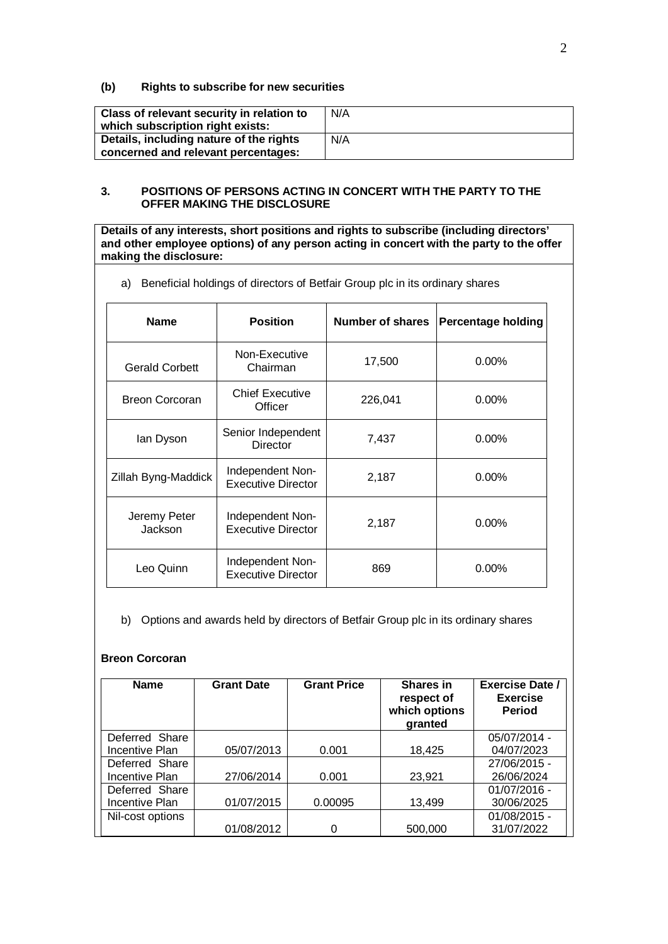## **(b) Rights to subscribe for new securities**

| Class of relevant security in relation to<br>which subscription right exists: | N/A |
|-------------------------------------------------------------------------------|-----|
| Details, including nature of the rights                                       | N/A |
| concerned and relevant percentages:                                           |     |

## **3. POSITIONS OF PERSONS ACTING IN CONCERT WITH THE PARTY TO THE OFFER MAKING THE DISCLOSURE**

**Details of any interests, short positions and rights to subscribe (including directors' and other employee options) of any person acting in concert with the party to the offer making the disclosure:**

a) Beneficial holdings of directors of Betfair Group plc in its ordinary shares

| <b>Name</b>             | <b>Position</b>                               | Number of shares | <b>Percentage holding</b> |
|-------------------------|-----------------------------------------------|------------------|---------------------------|
| <b>Gerald Corbett</b>   | Non-Executive<br>Chairman                     | 17,500           | $0.00\%$                  |
| <b>Breon Corcoran</b>   | <b>Chief Executive</b><br>Officer             | 226,041          | $0.00\%$                  |
| lan Dyson               | Senior Independent<br><b>Director</b>         | 7,437            | $0.00\%$                  |
| Zillah Byng-Maddick     | Independent Non-<br><b>Executive Director</b> | 2,187            | $0.00\%$                  |
| Jeremy Peter<br>Jackson | Independent Non-<br><b>Executive Director</b> | 2,187            | $0.00\%$                  |
| Leo Quinn               | Independent Non-<br><b>Executive Director</b> | 869              | $0.00\%$                  |

b) Options and awards held by directors of Betfair Group plc in its ordinary shares

### **Breon Corcoran**

| <b>Name</b>      | <b>Grant Date</b> | <b>Grant Price</b> | Shares in<br>respect of<br>which options<br>granted | <b>Exercise Date /</b><br><b>Exercise</b><br><b>Period</b> |
|------------------|-------------------|--------------------|-----------------------------------------------------|------------------------------------------------------------|
| Deferred Share   |                   |                    |                                                     | 05/07/2014 -                                               |
| Incentive Plan   | 05/07/2013        | 0.001              | 18,425                                              | 04/07/2023                                                 |
| Deferred Share   |                   |                    |                                                     | 27/06/2015 -                                               |
| Incentive Plan   | 27/06/2014        | 0.001              | 23,921                                              | 26/06/2024                                                 |
| Deferred Share   |                   |                    |                                                     | 01/07/2016 -                                               |
| Incentive Plan   | 01/07/2015        | 0.00095            | 13,499                                              | 30/06/2025                                                 |
| Nil-cost options |                   |                    |                                                     | 01/08/2015 -                                               |
|                  | 01/08/2012        |                    | 500,000                                             | 31/07/2022                                                 |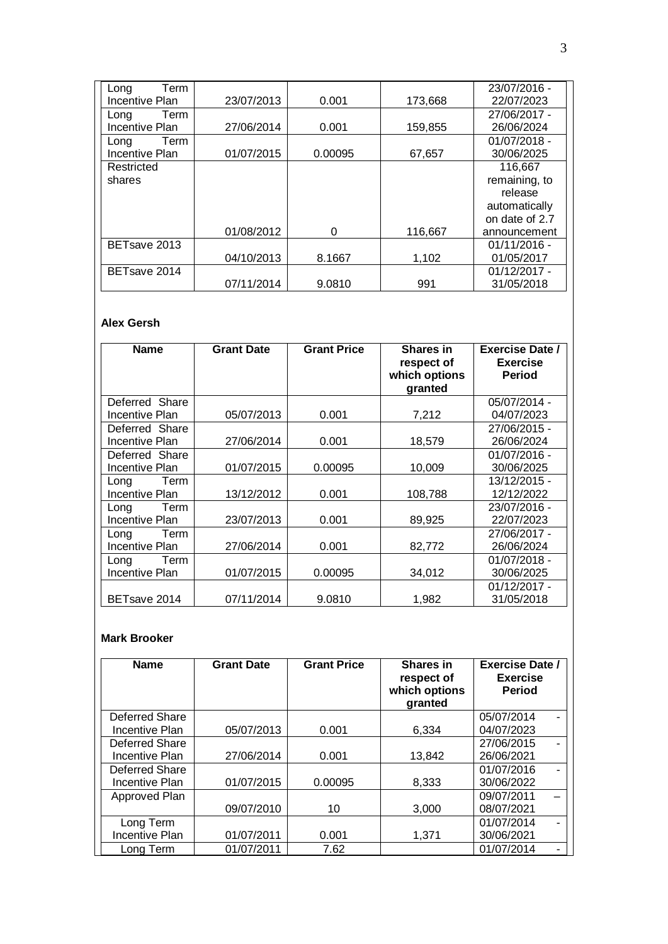| Term<br>Long          |            |         |         | 23/07/2016 -   |
|-----------------------|------------|---------|---------|----------------|
| Incentive Plan        | 23/07/2013 | 0.001   | 173,668 | 22/07/2023     |
| Term<br>Long          |            |         |         | 27/06/2017 -   |
| Incentive Plan        | 27/06/2014 | 0.001   | 159,855 | 26/06/2024     |
| Term<br>Long          |            |         |         | 01/07/2018 -   |
| <b>Incentive Plan</b> | 01/07/2015 | 0.00095 | 67,657  | 30/06/2025     |
| Restricted            |            |         |         | 116,667        |
| shares                |            |         |         | remaining, to  |
|                       |            |         |         | release        |
|                       |            |         |         | automatically  |
|                       |            |         |         | on date of 2.7 |
|                       | 01/08/2012 | 0       | 116,667 | announcement   |
| BETsave 2013          |            |         |         | $01/11/2016 -$ |
|                       | 04/10/2013 | 8.1667  | 1,102   | 01/05/2017     |
| BETsave 2014          |            |         |         | $01/12/2017 -$ |
|                       | 07/11/2014 | 9.0810  | 991     | 31/05/2018     |

# **Alex Gersh**

| <b>Name</b>           | <b>Grant Date</b> | <b>Grant Price</b> | <b>Shares in</b> | <b>Exercise Date /</b> |
|-----------------------|-------------------|--------------------|------------------|------------------------|
|                       |                   |                    | respect of       | <b>Exercise</b>        |
|                       |                   |                    | which options    | <b>Period</b>          |
|                       |                   |                    | granted          |                        |
| Deferred Share        |                   |                    |                  | 05/07/2014 -           |
| Incentive Plan        | 05/07/2013        | 0.001              | 7,212            | 04/07/2023             |
| Deferred Share        |                   |                    |                  | 27/06/2015 -           |
| Incentive Plan        | 27/06/2014        | 0.001              | 18,579           | 26/06/2024             |
| Deferred Share        |                   |                    |                  | $01/07/2016 -$         |
| Incentive Plan        | 01/07/2015        | 0.00095            | 10,009           | 30/06/2025             |
| Term<br>Long          |                   |                    |                  | 13/12/2015 -           |
| Incentive Plan        | 13/12/2012        | 0.001              | 108,788          | 12/12/2022             |
| Term<br>Long          |                   |                    |                  | 23/07/2016 -           |
| <b>Incentive Plan</b> | 23/07/2013        | 0.001              | 89,925           | 22/07/2023             |
| Term<br>Long          |                   |                    |                  | 27/06/2017 -           |
| Incentive Plan        | 27/06/2014        | 0.001              | 82,772           | 26/06/2024             |
| Term<br>Long          |                   |                    |                  | $01/07/2018 -$         |
| <b>Incentive Plan</b> | 01/07/2015        | 0.00095            | 34,012           | 30/06/2025             |
|                       |                   |                    |                  | $01/12/2017 -$         |
| BETsave 2014          | 07/11/2014        | 9.0810             | 1,982            | 31/05/2018             |

# **Mark Brooker**

| <b>Name</b>    | <b>Grant Date</b> | <b>Grant Price</b> | <b>Shares in</b><br>respect of<br>which options<br>granted | <b>Exercise Date /</b><br><b>Exercise</b><br><b>Period</b> |
|----------------|-------------------|--------------------|------------------------------------------------------------|------------------------------------------------------------|
| Deferred Share |                   |                    |                                                            | 05/07/2014                                                 |
| Incentive Plan | 05/07/2013        | 0.001              | 6,334                                                      | 04/07/2023                                                 |
| Deferred Share |                   |                    |                                                            | 27/06/2015                                                 |
| Incentive Plan | 27/06/2014        | 0.001              | 13,842                                                     | 26/06/2021                                                 |
| Deferred Share |                   |                    |                                                            | 01/07/2016                                                 |
| Incentive Plan | 01/07/2015        | 0.00095            | 8,333                                                      | 30/06/2022                                                 |
| Approved Plan  |                   |                    |                                                            | 09/07/2011                                                 |
|                | 09/07/2010        | 10                 | 3,000                                                      | 08/07/2021                                                 |
| Long Term      |                   |                    |                                                            | 01/07/2014                                                 |
| Incentive Plan | 01/07/2011        | 0.001              | 1,371                                                      | 30/06/2021                                                 |
| Lona Term      | 01/07/2011        | 7.62               |                                                            | 01/07/2014                                                 |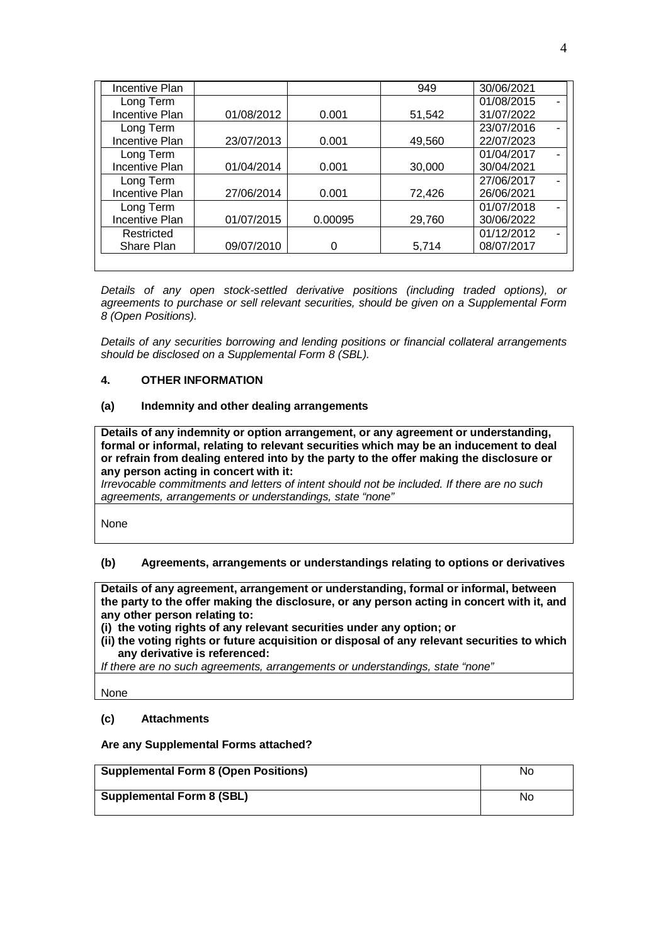| Incentive Plan        |            |         | 949    | 30/06/2021 |  |
|-----------------------|------------|---------|--------|------------|--|
| Long Term             |            |         |        | 01/08/2015 |  |
| Incentive Plan        | 01/08/2012 | 0.001   | 51,542 | 31/07/2022 |  |
| Long Term             |            |         |        | 23/07/2016 |  |
| <b>Incentive Plan</b> | 23/07/2013 | 0.001   | 49,560 | 22/07/2023 |  |
| Long Term             |            |         |        | 01/04/2017 |  |
| <b>Incentive Plan</b> | 01/04/2014 | 0.001   | 30,000 | 30/04/2021 |  |
| Long Term             |            |         |        | 27/06/2017 |  |
| <b>Incentive Plan</b> | 27/06/2014 | 0.001   | 72,426 | 26/06/2021 |  |
| Long Term             |            |         |        | 01/07/2018 |  |
| <b>Incentive Plan</b> | 01/07/2015 | 0.00095 | 29,760 | 30/06/2022 |  |
| Restricted            |            |         |        | 01/12/2012 |  |
| Share Plan            | 09/07/2010 |         | 5,714  | 08/07/2017 |  |
|                       |            |         |        |            |  |

*Details of any open stock-settled derivative positions (including traded options), or agreements to purchase or sell relevant securities, should be given on a Supplemental Form 8 (Open Positions).*

*Details of any securities borrowing and lending positions or financial collateral arrangements should be disclosed on a Supplemental Form 8 (SBL).*

# **4. OTHER INFORMATION**

### **(a) Indemnity and other dealing arrangements**

**Details of any indemnity or option arrangement, or any agreement or understanding, formal or informal, relating to relevant securities which may be an inducement to deal or refrain from dealing entered into by the party to the offer making the disclosure or any person acting in concert with it:**

*Irrevocable commitments and letters of intent should not be included. If there are no such agreements, arrangements or understandings, state "none"*

None

# **(b) Agreements, arrangements or understandings relating to options or derivatives**

**Details of any agreement, arrangement or understanding, formal or informal, between the party to the offer making the disclosure, or any person acting in concert with it, and any other person relating to:**

**(i) the voting rights of any relevant securities under any option; or**

**(ii) the voting rights or future acquisition or disposal of any relevant securities to which any derivative is referenced:**

*If there are no such agreements, arrangements or understandings, state "none"*

None

### **(c) Attachments**

### **Are any Supplemental Forms attached?**

| <b>Supplemental Form 8 (Open Positions)</b> | No |
|---------------------------------------------|----|
| <b>Supplemental Form 8 (SBL)</b>            | No |